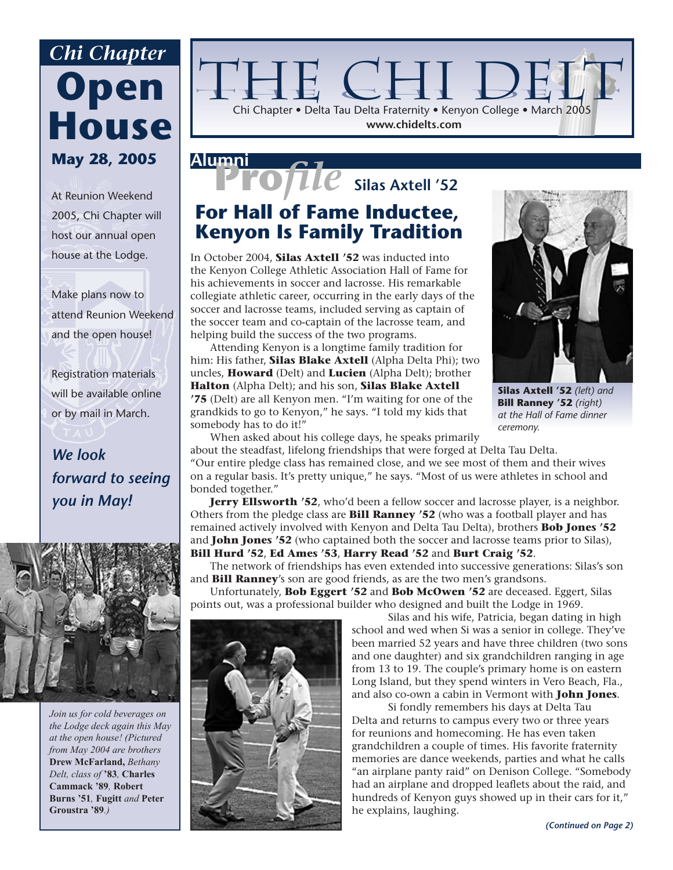## **Open House May 28, 2005** *Chi Chapter*

At Reunion Weekend 2005, Chi Chapter will host our annual open house at the Lodge.

Make plans now to attend Reunion Weekend and the open house!

Registration materials will be available online or by mail in March.

### *We look forward to seeing you in May!*



*Join us for cold beverages on the Lodge deck again this May at the open house! (Pictured from May 2004 are brothers*  **Drew McFarland,** *Bethany Delt, class of* **'83***,* **Charles Cammack '89***,* **Robert Burns '51***,* **Fugitt** *and* **Peter Groustra '89***.)*



### **Pro***file* **Silas Axtell '52 Alumni**

### **For Hall of Fame Inductee, Kenyon Is Family Tradition**

In October 2004, **Silas Axtell '52** was inducted into the Kenyon College Athletic Association Hall of Fame for his achievements in soccer and lacrosse. His remarkable collegiate athletic career, occurring in the early days of the soccer and lacrosse teams, included serving as captain of the soccer team and co-captain of the lacrosse team, and helping build the success of the two programs.

 Attending Kenyon is a longtime family tradition for him: His father, **Silas Blake Axtell** (Alpha Delta Phi); two uncles, **Howard** (Delt) and **Lucien** (Alpha Delt); brother **Halton** (Alpha Delt); and his son, **Silas Blake Axtell '75** (Delt) are all Kenyon men. "I'm waiting for one of the grandkids to go to Kenyon," he says. "I told my kids that somebody has to do it!"



**Silas Axtell '52** *(left) and*  **Bill Ranney '52** *(right) at the Hall of Fame dinner ceremony.*

 When asked about his college days, he speaks primarily about the steadfast, lifelong friendships that were forged at Delta Tau Delta. "Our entire pledge class has remained close, and we see most of them and their wives on a regular basis. It's pretty unique," he says. "Most of us were athletes in school and bonded together."

**Jerry Ellsworth '52**, who'd been a fellow soccer and lacrosse player, is a neighbor. Others from the pledge class are **Bill Ranney '52** (who was a football player and has remained actively involved with Kenyon and Delta Tau Delta), brothers **Bob Jones '52** and **John Jones '52** (who captained both the soccer and lacrosse teams prior to Silas), **Bill Hurd '52**, **Ed Ames '53**, **Harry Read '52** and **Burt Craig '52**.

 The network of friendships has even extended into successive generations: Silas's son and **Bill Ranney**'s son are good friends, as are the two men's grandsons.

 Unfortunately, **Bob Eggert '52** and **Bob McOwen '52** are deceased. Eggert, Silas points out, was a professional builder who designed and built the Lodge in 1969.



 Silas and his wife, Patricia, began dating in high school and wed when Si was a senior in college. They've been married 52 years and have three children (two sons and one daughter) and six grandchildren ranging in age from 13 to 19. The couple's primary home is on eastern Long Island, but they spend winters in Vero Beach, Fla., and also co-own a cabin in Vermont with **John Jones**.

 Si fondly remembers his days at Delta Tau Delta and returns to campus every two or three years for reunions and homecoming. He has even taken grandchildren a couple of times. His favorite fraternity memories are dance weekends, parties and what he calls "an airplane panty raid" on Denison College. "Somebody had an airplane and dropped leaflets about the raid, and hundreds of Kenyon guys showed up in their cars for it," he explains, laughing.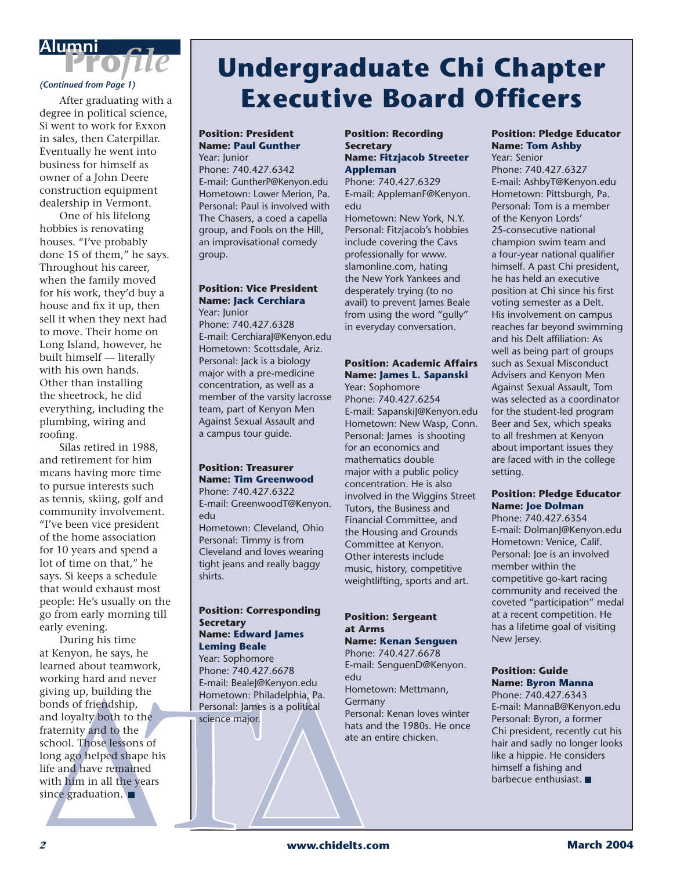# **Profile**<br>Continued from Page 1)

 After graduating with a degree in political science, Si went to work for Exxon in sales, then Caterpillar. Eventually he went into business for himself as owner of a John Deere construction equipment dealership in Vermont.

 One of his lifelong hobbies is renovating houses. "I've probably done 15 of them," he says. Throughout his career, when the family moved for his work, they'd buy a house and fix it up, then sell it when they next had to move. Their home on Long Island, however, he built himself — literally with his own hands. Other than installing the sheetrock, he did everything, including the plumbing, wiring and roofing.

 Silas retired in 1988, and retirement for him means having more time to pursue interests such as tennis, skiing, golf and community involvement. "I've been vice president of the home association for 10 years and spend a lot of time on that," he says. Si keeps a schedule that would exhaust most people: He's usually on the go from early morning till early evening.

F-mail: Bealegive Meridion. E-mail: Bealegive Meryon.edu<br>
sixing up, building the<br>
boonds of friendship,<br>
mal loyalty both to the<br>
raternity and to the<br>
raternity and to the<br>
chool. Those lessons of<br>
ong ago helped shape During his time at Kenyon, he says, he learned about teamwork, working hard and never giving up, building the bonds of friendship, and loyalty both to the fraternity and to the school. Those lessons of long ago helped shape his life and have remained with him in all the years since graduation.  $\blacksquare$ 

## **Undergraduate Chi Chapter Executive Board Officers**

### **Position: President Name: Paul Gunther** Year: Junior

Phone: 740.427.6342 E-mail: GuntherP@Kenyon.edu Hometown: Lower Merion, Pa. Personal: Paul is involved with The Chasers, a coed a capella group, and Fools on the Hill, an improvisational comedy group.

### **Position: Vice President Name: Jack Cerchiara**

Year: Junior Phone: 740.427.6328 E-mail: CerchiaraJ@Kenyon.edu Hometown: Scottsdale, Ariz. Personal: Jack is a biology major with a pre-medicine concentration, as well as a member of the varsity lacrosse team, part of Kenyon Men Against Sexual Assault and a campus tour guide.

### **Position: Treasurer Name: Tim Greenwood**

Phone: 740.427.6322 E-mail: GreenwoodT@Kenyon. edu Hometown: Cleveland, Ohio Personal: Timmy is from Cleveland and loves wearing tight jeans and really baggy shirts.

### **Position: Corresponding Secretary Name: Edward James Leming Beale**

Year: Sophomore Phone: 740.427.6678 E-mail: BealeJ@Kenyon.edu Hometown: Philadelphia, Pa. Personal: James is a political science major.

### **Position: Recording Secretary Name: Fitzjacob Streeter Appleman**

Phone: 740.427.6329 E-mail: ApplemanF@Kenyon. edu

Hometown: New York, N.Y. Personal: Fitzjacob's hobbies include covering the Cavs professionally for www. slamonline.com, hating the New York Yankees and desperately trying (to no avail) to prevent James Beale from using the word "gully" in everyday conversation.

### **Position: Academic Affairs Name: James L. Sapanski**

Year: Sophomore Phone: 740.427.6254 E-mail: SapanskiJ@Kenyon.edu Hometown: New Wasp, Conn. Personal: James is shooting for an economics and mathematics double major with a public policy concentration. He is also involved in the Wiggins Street Tutors, the Business and Financial Committee, and the Housing and Grounds Committee at Kenyon. Other interests include music, history, competitive weightlifting, sports and art.

### **Position: Sergeant at Arms Name: Kenan Senguen**

Phone: 740.427.6678 E-mail: SenguenD@Kenyon. edu Hometown: Mettmann, **Germany** Personal: Kenan loves winter hats and the 1980s. He once ate an entire chicken.

### **Position: Pledge Educator Name: Tom Ashby**

Year: Senior Phone: 740.427.6327 E-mail: AshbyT@Kenyon.edu Hometown: Pittsburgh, Pa. Personal: Tom is a member of the Kenyon Lords' 25-consecutive national champion swim team and a four-year national qualifier himself. A past Chi president, he has held an executive position at Chi since his first voting semester as a Delt. His involvement on campus reaches far beyond swimming and his Delt affiliation: As well as being part of groups such as Sexual Misconduct Advisers and Kenyon Men Against Sexual Assault, Tom was selected as a coordinator for the student-led program Beer and Sex, which speaks to all freshmen at Kenyon about important issues they are faced with in the college setting.

### **Position: Pledge Educator Name: Joe Dolman**

Phone: 740.427.6354 E-mail: DolmanJ@Kenyon.edu Hometown: Venice, Calif. Personal: Joe is an involved member within the competitive go-kart racing community and received the coveted "participation" medal at a recent competition. He has a lifetime goal of visiting New Jersey.

### **Position: Guide Name: Byron Manna**

Phone: 740.427.6343 E-mail: MannaB@Kenyon.edu Personal: Byron, a former Chi president, recently cut his hair and sadly no longer looks like a hippie. He considers himself a fishing and barbecue enthusiast.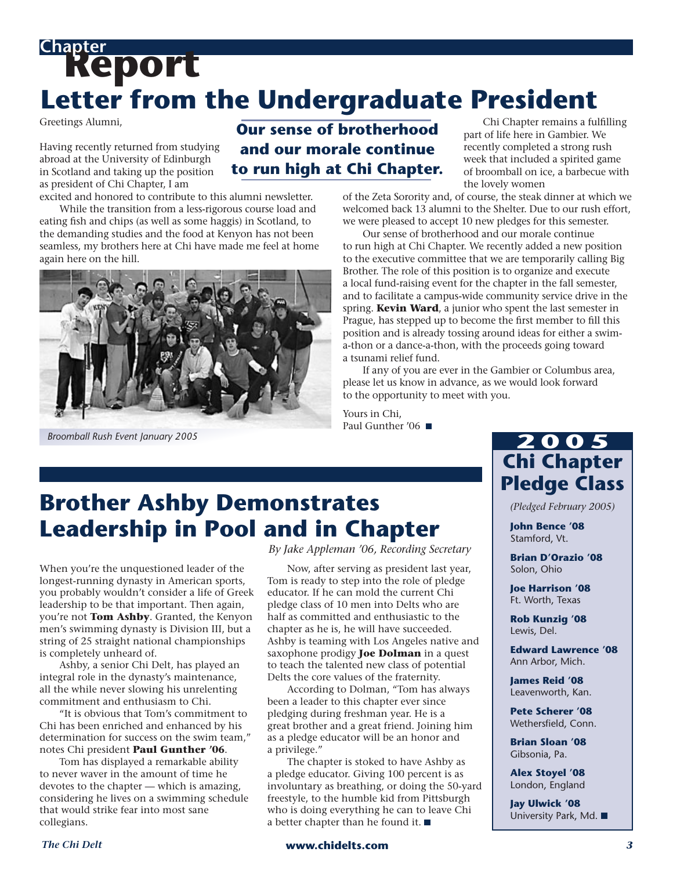## **Report Chapter Letter from the Undergraduate President**

Greetings Alumni,

Having recently returned from studying abroad at the University of Edinburgh in Scotland and taking up the position as president of Chi Chapter, I am excited and honored to contribute to this alumni newsletter.

 While the transition from a less-rigorous course load and eating fish and chips (as well as some haggis) in Scotland, to the demanding studies and the food at Kenyon has not been seamless, my brothers here at Chi have made me feel at home again here on the hill.



*Broomball Rush Event January 2005*

### **Our sense of brotherhood and our morale continue to run high at Chi Chapter.**

 Chi Chapter remains a fulfilling part of life here in Gambier. We recently completed a strong rush week that included a spirited game of broomball on ice, a barbecue with the lovely women

of the Zeta Sorority and, of course, the steak dinner at which we welcomed back 13 alumni to the Shelter. Due to our rush effort, we were pleased to accept 10 new pledges for this semester.

Our sense of brotherhood and our morale continue to run high at Chi Chapter. We recently added a new position to the executive committee that we are temporarily calling Big Brother. The role of this position is to organize and execute a local fund-raising event for the chapter in the fall semester, and to facilitate a campus-wide community service drive in the spring. **Kevin Ward**, a junior who spent the last semester in Prague, has stepped up to become the first member to fill this position and is already tossing around ideas for either a swima-thon or a dance-a-thon, with the proceeds going toward a tsunami relief fund.

 If any of you are ever in the Gambier or Columbus area, please let us know in advance, as we would look forward to the opportunity to meet with you.

Yours in Chi, Paul Gunther '06 ■

### **Brother Ashby Demonstrates Leadership in Pool and in Chapter**

When you're the unquestioned leader of the longest-running dynasty in American sports, you probably wouldn't consider a life of Greek leadership to be that important. Then again, you're not **Tom Ashby**. Granted, the Kenyon men's swimming dynasty is Division III, but a string of 25 straight national championships is completely unheard of.

 Ashby, a senior Chi Delt, has played an integral role in the dynasty's maintenance, all the while never slowing his unrelenting commitment and enthusiasm to Chi.

 "It is obvious that Tom's commitment to Chi has been enriched and enhanced by his determination for success on the swim team," notes Chi president **Paul Gunther '06**.

 Tom has displayed a remarkable ability to never waver in the amount of time he devotes to the chapter — which is amazing, considering he lives on a swimming schedule that would strike fear into most sane collegians.

*By Jake Appleman '06, Recording Secretary*

 Now, after serving as president last year, Tom is ready to step into the role of pledge educator. If he can mold the current Chi pledge class of 10 men into Delts who are half as committed and enthusiastic to the chapter as he is, he will have succeeded. Ashby is teaming with Los Angeles native and saxophone prodigy **Joe Dolman** in a quest to teach the talented new class of potential Delts the core values of the fraternity.

 According to Dolman, "Tom has always been a leader to this chapter ever since pledging during freshman year. He is a great brother and a great friend. Joining him as a pledge educator will be an honor and a privilege."

 The chapter is stoked to have Ashby as a pledge educator. Giving 100 percent is as involuntary as breathing, or doing the 50-yard freestyle, to the humble kid from Pittsburgh who is doing everything he can to leave Chi a better chapter than he found it.  $\blacksquare$ 

### **2 0 0 5 Chi Chapter Pledge Class**

*(Pledged February 2005)*

**John Bence '08** Stamford, Vt.

**Brian D'Orazio '08** Solon, Ohio

**Joe Harrison '08** Ft. Worth, Texas

**Rob Kunzig '08** Lewis, Del.

**Edward Lawrence '08** Ann Arbor, Mich.

**James Reid '08** Leavenworth, Kan.

**Pete Scherer '08** Wethersfield, Conn.

**Brian Sloan '08** Gibsonia, Pa.

**Alex Stoyel '08** London, England

**Jay Ulwick '08** University Park, Md.